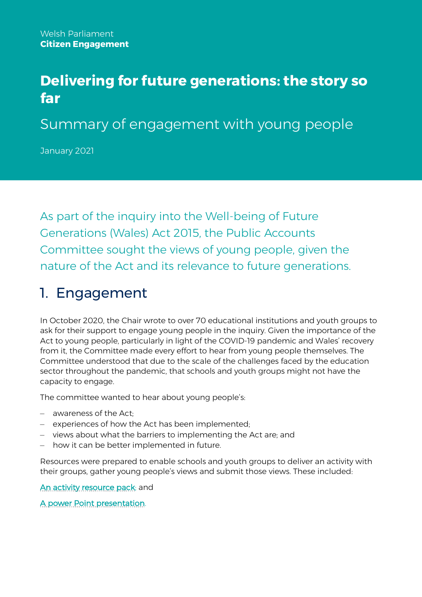# **Delivering for future generations: the story so far**

## Summary of engagement with young people

January 2021

As part of the inquiry into the Well-being of Future Generations (Wales) Act 2015, the Public Accounts Committee sought the views of young people, given the nature of the Act and its relevance to future generations.

# 1. Engagement

In October 2020, the Chair wrote to over 70 educational institutions and youth groups to ask for their support to engage young people in the inquiry. Given the importance of the Act to young people, particularly in light of the COVID-19 pandemic and Wales' recovery from it, the Committee made every effort to hear from young people themselves. The Committee understood that due to the scale of the challenges faced by the education sector throughout the pandemic, that schools and youth groups might not have the capacity to engage.

The committee wanted to hear about young people's:

- awareness of the Act;
- experiences of how the Act has been implemented;
- views about what the barriers to implementing the Act are; and
- how it can be better implemented in future.

Resources were prepared to enable schools and youth groups to deliver an activity with their groups, gather young people's views and submit those views. These included:

[An activity resource pack;](https://business.senedd.wales/documents/s106608/Engagement%20with%20young%20people%20activity%20resource%20pack.pdf) and

#### [A power Point presentation.](https://www.senedd.wales/NAfW%20Documents/Future-Generations-Presentation/Future%20Gens%20Presentation_e.pptx)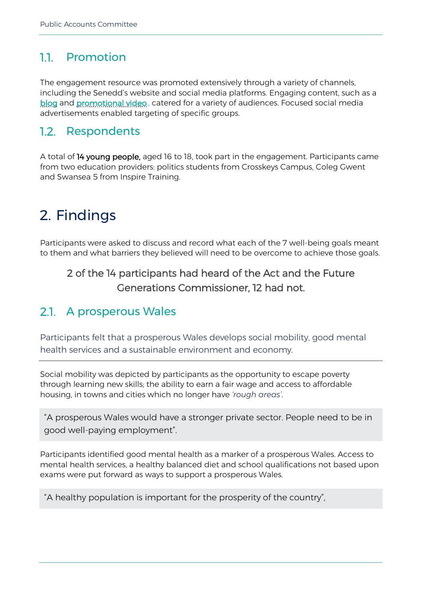### 1.1 Promotion

The engagement resource was promoted extensively through a variety of channels, including the Senedd's website and social media platforms. Engaging content, such as a [blog](https://blog.senedd.wales/2020/11/03/delivering-for-future-generations-the-story-so-far/) and [promotional video.](https://twitter.com/SeneddEngage/status/1323263771306020864?s=20), catered for a variety of audiences. Focused social media advertisements enabled targeting of specific groups.

#### 1.2. Respondents

A total of 14 young people, aged 16 to 18, took part in the engagement. Participants came from two education providers: politics students from Crosskeys Campus, Coleg Gwent and Swansea 5 from Inspire Training.

# 2. Findings

Participants were asked to discuss and record what each of the 7 well-being goals meant to them and what barriers they believed will need to be overcome to achieve those goals.

#### 2 of the 14 participants had heard of the Act and the Future Generations Commissioner, 12 had not.

#### 2.1. A prosperous Wales

Participants felt that a prosperous Wales develops social mobility, good mental health services and a sustainable environment and economy.

Social mobility was depicted by participants as the opportunity to escape poverty through learning new skills; the ability to earn a fair wage and access to affordable housing, in towns and cities which no longer have *'rough areas'*.

"A prosperous Wales would have a stronger private sector. People need to be in good well-paying employment".

Participants identified good mental health as a marker of a prosperous Wales. Access to mental health services, a healthy balanced diet and school qualifications not based upon exams were put forward as ways to support a prosperous Wales.

"A healthy population is important for the prosperity of the country",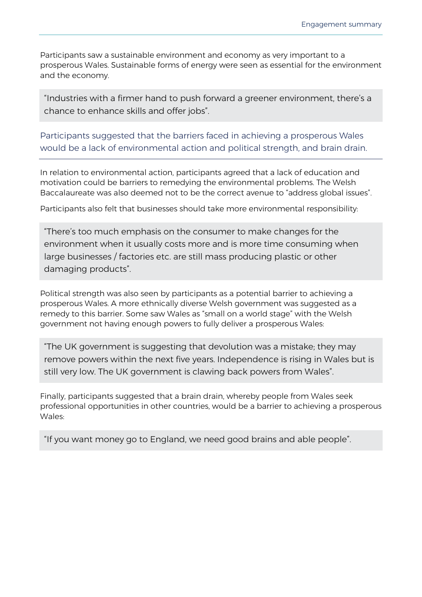Participants saw a sustainable environment and economy as very important to a prosperous Wales. Sustainable forms of energy were seen as essential for the environment and the economy.

"Industries with a firmer hand to push forward a greener environment, there's a chance to enhance skills and offer jobs".

Participants suggested that the barriers faced in achieving a prosperous Wales would be a lack of environmental action and political strength, and brain drain.

In relation to environmental action, participants agreed that a lack of education and motivation could be barriers to remedying the environmental problems. The Welsh Baccalaureate was also deemed not to be the correct avenue to "address global issues".

Participants also felt that businesses should take more environmental responsibility:

"There's too much emphasis on the consumer to make changes for the environment when it usually costs more and is more time consuming when large businesses / factories etc. are still mass producing plastic or other damaging products".

Political strength was also seen by participants as a potential barrier to achieving a prosperous Wales. A more ethnically diverse Welsh government was suggested as a remedy to this barrier. Some saw Wales as "small on a world stage" with the Welsh government not having enough powers to fully deliver a prosperous Wales:

"The UK government is suggesting that devolution was a mistake; they may remove powers within the next five years. Independence is rising in Wales but is still very low. The UK government is clawing back powers from Wales".

Finally, participants suggested that a brain drain, whereby people from Wales seek professional opportunities in other countries, would be a barrier to achieving a prosperous Wales:

"If you want money go to England, we need good brains and able people".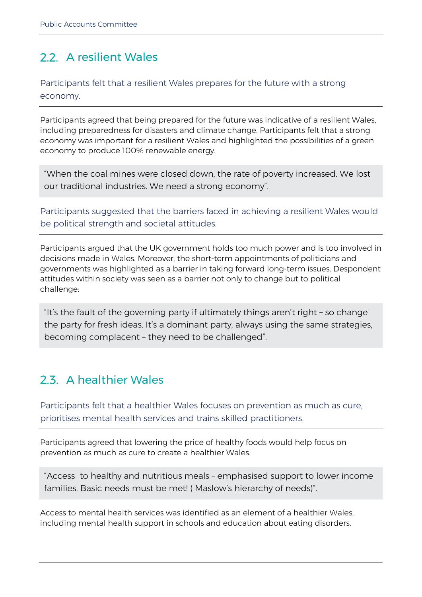### 2.2 A resilient Wales

Participants felt that a resilient Wales prepares for the future with a strong economy.

Participants agreed that being prepared for the future was indicative of a resilient Wales, including preparedness for disasters and climate change. Participants felt that a strong economy was important for a resilient Wales and highlighted the possibilities of a green economy to produce 100% renewable energy.

"When the coal mines were closed down, the rate of poverty increased. We lost our traditional industries. We need a strong economy".

Participants suggested that the barriers faced in achieving a resilient Wales would be political strength and societal attitudes.

Participants argued that the UK government holds too much power and is too involved in decisions made in Wales. Moreover, the short-term appointments of politicians and governments was highlighted as a barrier in taking forward long-term issues. Despondent attitudes within society was seen as a barrier not only to change but to political challenge:

"It's the fault of the governing party if ultimately things aren't right – so change the party for fresh ideas. It's a dominant party, always using the same strategies, becoming complacent – they need to be challenged".

#### 2.3 A healthier Wales

Participants felt that a healthier Wales focuses on prevention as much as cure, prioritises mental health services and trains skilled practitioners.

Participants agreed that lowering the price of healthy foods would help focus on prevention as much as cure to create a healthier Wales.

"Access to healthy and nutritious meals – emphasised support to lower income families. Basic needs must be met! ( Maslow's hierarchy of needs)".

Access to mental health services was identified as an element of a healthier Wales, including mental health support in schools and education about eating disorders.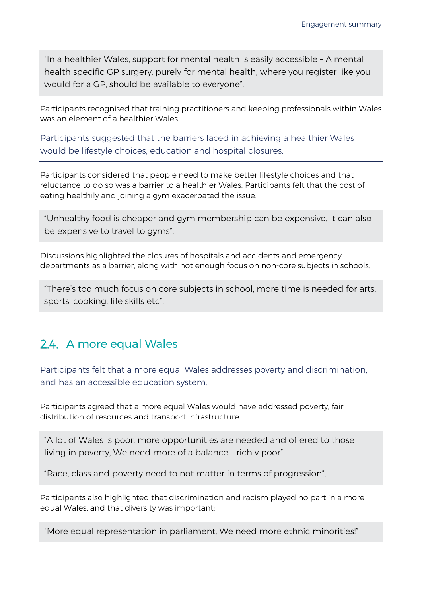"In a healthier Wales, support for mental health is easily accessible – A mental health specific GP surgery, purely for mental health, where you register like you would for a GP, should be available to everyone".

Participants recognised that training practitioners and keeping professionals within Wales was an element of a healthier Wales.

Participants suggested that the barriers faced in achieving a healthier Wales would be lifestyle choices, education and hospital closures.

Participants considered that people need to make better lifestyle choices and that reluctance to do so was a barrier to a healthier Wales. Participants felt that the cost of eating healthily and joining a gym exacerbated the issue.

"Unhealthy food is cheaper and gym membership can be expensive. It can also be expensive to travel to gyms".

Discussions highlighted the closures of hospitals and accidents and emergency departments as a barrier, along with not enough focus on non-core subjects in schools.

"There's too much focus on core subjects in school, more time is needed for arts, sports, cooking, life skills etc".

#### 2.4. A more equal Wales

Participants felt that a more equal Wales addresses poverty and discrimination, and has an accessible education system.

Participants agreed that a more equal Wales would have addressed poverty, fair distribution of resources and transport infrastructure.

"A lot of Wales is poor, more opportunities are needed and offered to those living in poverty, We need more of a balance – rich v poor".

"Race, class and poverty need to not matter in terms of progression".

Participants also highlighted that discrimination and racism played no part in a more equal Wales, and that diversity was important:

"More equal representation in parliament. We need more ethnic minorities!"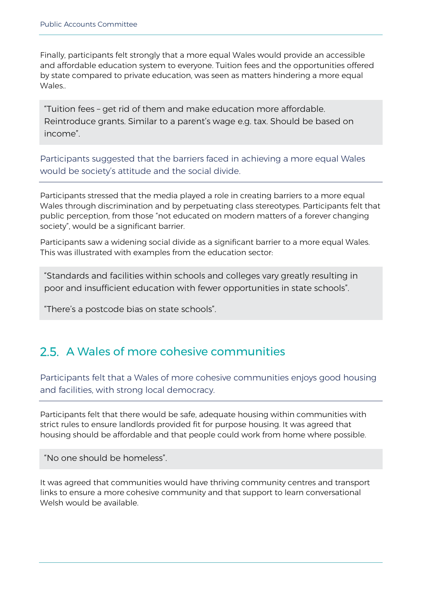Finally, participants felt strongly that a more equal Wales would provide an accessible and affordable education system to everyone. Tuition fees and the opportunities offered by state compared to private education, was seen as matters hindering a more equal **Wales** 

"Tuition fees – get rid of them and make education more affordable. Reintroduce grants. Similar to a parent's wage e.g. tax. Should be based on income".

Participants suggested that the barriers faced in achieving a more equal Wales would be society's attitude and the social divide.

Participants stressed that the media played a role in creating barriers to a more equal Wales through discrimination and by perpetuating class stereotypes. Participants felt that public perception, from those "not educated on modern matters of a forever changing society", would be a significant barrier.

Participants saw a widening social divide as a significant barrier to a more equal Wales. This was illustrated with examples from the education sector:

"Standards and facilities within schools and colleges vary greatly resulting in poor and insufficient education with fewer opportunities in state schools".

"There's a postcode bias on state schools".

#### 2.5. A Wales of more cohesive communities

Participants felt that a Wales of more cohesive communities enjoys good housing and facilities, with strong local democracy.

Participants felt that there would be safe, adequate housing within communities with strict rules to ensure landlords provided fit for purpose housing. It was agreed that housing should be affordable and that people could work from home where possible.

"No one should be homeless".

It was agreed that communities would have thriving community centres and transport links to ensure a more cohesive community and that support to learn conversational Welsh would be available.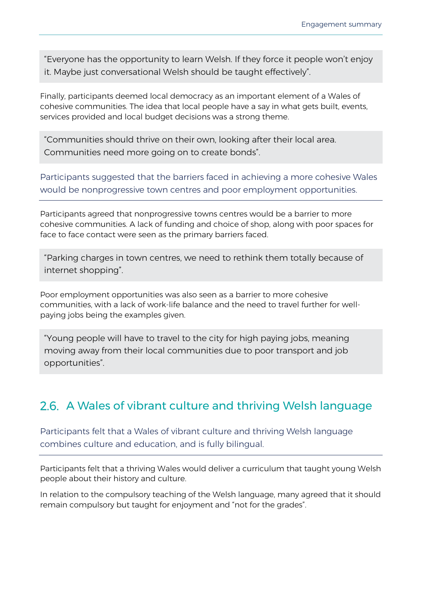"Everyone has the opportunity to learn Welsh. If they force it people won't enjoy it. Maybe just conversational Welsh should be taught effectively".

Finally, participants deemed local democracy as an important element of a Wales of cohesive communities. The idea that local people have a say in what gets built, events, services provided and local budget decisions was a strong theme.

"Communities should thrive on their own, looking after their local area. Communities need more going on to create bonds".

Participants suggested that the barriers faced in achieving a more cohesive Wales would be nonprogressive town centres and poor employment opportunities.

Participants agreed that nonprogressive towns centres would be a barrier to more cohesive communities. A lack of funding and choice of shop, along with poor spaces for face to face contact were seen as the primary barriers faced.

"Parking charges in town centres, we need to rethink them totally because of internet shopping".

Poor employment opportunities was also seen as a barrier to more cohesive communities, with a lack of work-life balance and the need to travel further for wellpaying jobs being the examples given.

"Young people will have to travel to the city for high paying jobs, meaning moving away from their local communities due to poor transport and job opportunities".

#### 2.6. A Wales of vibrant culture and thriving Welsh language

Participants felt that a Wales of vibrant culture and thriving Welsh language combines culture and education, and is fully bilingual.

Participants felt that a thriving Wales would deliver a curriculum that taught young Welsh people about their history and culture.

In relation to the compulsory teaching of the Welsh language, many agreed that it should remain compulsory but taught for enjoyment and "not for the grades".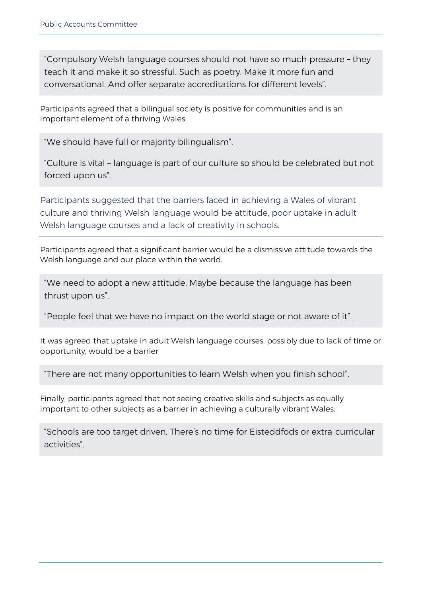"Compulsory Welsh language courses should not have so much pressure – they teach it and make it so stressful. Such as poetry. Make it more fun and conversational. And offer separate accreditations for different levels".

Participants agreed that a bilingual society is positive for communities and is an important element of a thriving Wales.

"We should have full or majority bilingualism".

"Culture is vital – language is part of our culture so should be celebrated but not forced upon us".

Participants suggested that the barriers faced in achieving a Wales of vibrant culture and thriving Welsh language would be attitude, poor uptake in adult Welsh language courses and a lack of creativity in schools.

Participants agreed that a significant barrier would be a dismissive attitude towards the Welsh language and our place within the world.

"We need to adopt a new attitude. Maybe because the language has been thrust upon us".

"People feel that we have no impact on the world stage or not aware of it".

It was agreed that uptake in adult Welsh language courses, possibly due to lack of time or opportunity, would be a barrier

"There are not many opportunities to learn Welsh when you finish school".

Finally, participants agreed that not seeing creative skills and subjects as equally important to other subjects as a barrier in achieving a culturally vibrant Wales:

"Schools are too target driven. There's no time for Eisteddfods or extra-curricular activities".